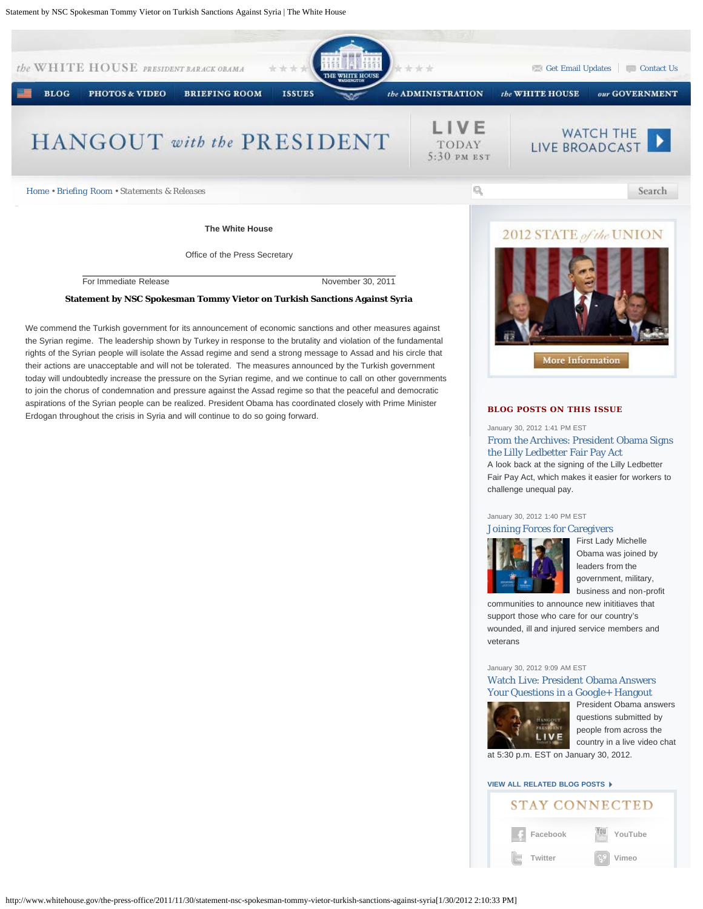

January 30, 2012 1:40 PM EST



[F](http://www.whitehouse.gov/blog/2012/01/30/joining-forces-caregivers)irst Lady Michelle Obama was joined by leaders from the government, military, business and non-profit

communities to announce new inititiaves that support those who care for our country's wounded, ill and injured service members and veterans

January 30, 2012 9:09 AM EST

[Watch Live: President Obama Answers](http://www.whitehouse.gov/blog/2012/01/30/watch-live-president-obama-answers-your-questions-google-hangout) [Your Questions in a Google+ Hangout](http://www.whitehouse.gov/blog/2012/01/30/watch-live-president-obama-answers-your-questions-google-hangout)



[P](http://www.whitehouse.gov/blog/2012/01/30/watch-live-president-obama-answers-your-questions-google-hangout)resident Obama answers questions submitted by people from across the country in a live video chat

at 5:30 p.m. EST on January 30, 2012.

## **[VIEW ALL RELATED BLOG POSTS](http://www.whitehouse.gov/blog/issues/white-house)**

# **STAY CONNECTED**

**[Facebook](http://www.facebook.com/whitehouse) [Twitter](http://www.twitter.com/whitehouse) [YouTube](http://www.youtube.com/whitehouse) [Vimeo](http://www.vimeo.com/whitehouse)**